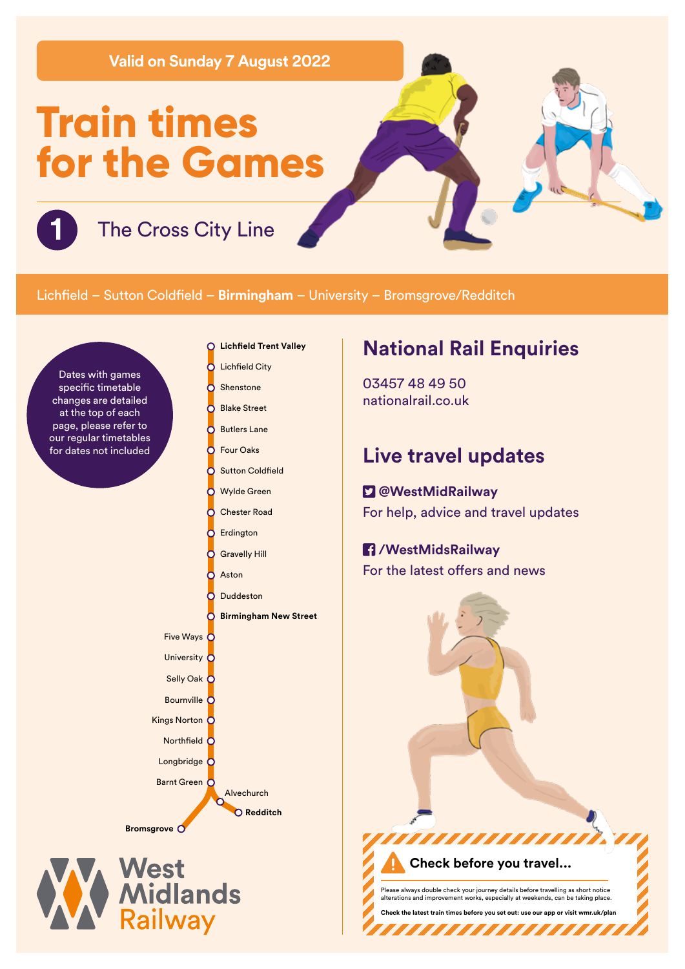**Valid on Sunday 7 August 2022**

# **Train times for the Games**

**1** The Cross City Line

### Lichfield – Sutton Coldfield – **Birmingham** – University – Bromsgrove/Redditch

Dates with games specific timetable changes are detailed at the top of each page, please refer to our regular timetables for dates not included

- **Lichfield Trent Valley**  $\Omega$
- **Lichfield City** C
- Shenstone h
- Blake Street h C Butlers Lane
- Four Oaks റ
- ō **Sutton Coldfield** 
	- Wylde Green
	- Chester Road
- Ō Erdington

Č

Ы

- Gravelly Hill
- Aston Č

Five Ways C University C Selly Oak C Bournville C Kings Norton C Northfield  $\overline{C}$ Longbridge<sup>C</sup> Barnt Green O

**Bromsgrove**

West<br>Midlands<br>Railway

Duddeston

Alvechurch **Redditch**

**Birmingham New Street**

# **National Rail Enquiries**

03457 48 49 50 nationalrail.co.uk

## **Live travel updates**

## **@WestMidRailway**

For help, advice and travel updates

#### **/WestMidsRailway**

For the latest offers and news

Please always double check your journey details before travelling as short notice alterations are chosen works.<br>In providing works, can be taking place.

**Check the latest train times before you set out: use our app or visit wmr.uk/plan** 

**TITI TITI TI** 

,,,,,,,,,,

**Check before you travel...**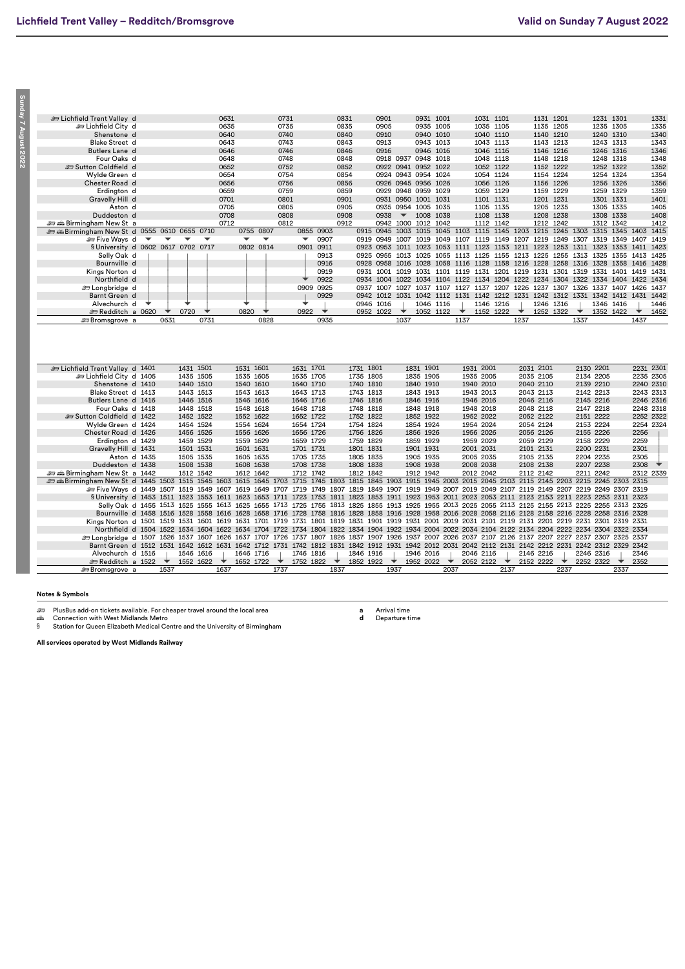Sunday 7 August 2022 **Sunday 7 August 2022**

| E Lichfield Trent Valley d                                                                                                                                                        |   |                          |           |      | 0631 |           |                          | 0731 |                      |           | 0831 |           | 0901      |                          |           | 0931 1001 |                                                                                 | 1031 1101 |      |      | 1131 1201 |      |                          | 1231 1301 |                          |              | 1331      |
|-----------------------------------------------------------------------------------------------------------------------------------------------------------------------------------|---|--------------------------|-----------|------|------|-----------|--------------------------|------|----------------------|-----------|------|-----------|-----------|--------------------------|-----------|-----------|---------------------------------------------------------------------------------|-----------|------|------|-----------|------|--------------------------|-----------|--------------------------|--------------|-----------|
| ات Lichfield City d                                                                                                                                                               |   |                          |           |      | 0635 |           |                          | 0735 |                      |           | 0835 |           | 0905      |                          |           | 0935 1005 |                                                                                 | 1035 1105 |      |      | 1135 1205 |      |                          | 1235 1305 |                          |              | 1335      |
| Shenstone d                                                                                                                                                                       |   |                          |           |      | 0640 |           |                          | 0740 |                      |           | 0840 |           | 0910      |                          |           | 0940 1010 |                                                                                 | 1040 1110 |      |      | 1140 1210 |      |                          | 1240 1310 |                          |              | 1340      |
| <b>Blake Street d</b>                                                                                                                                                             |   |                          |           |      | 0643 |           |                          | 0743 |                      |           | 0843 |           | 0913      |                          |           | 0943 1013 |                                                                                 | 1043 1113 |      |      | 1143 1213 |      |                          | 1243 1313 |                          |              | 1343      |
| Butlers Lane d                                                                                                                                                                    |   |                          |           |      | 0646 |           |                          | 0746 |                      |           | 0846 |           | 0916      |                          |           | 0946 1016 |                                                                                 | 1046 1116 |      |      | 1146 1216 |      |                          | 1246 1316 |                          |              | 1346      |
| Four Oaks d                                                                                                                                                                       |   |                          |           |      | 0648 |           |                          | 0748 |                      |           | 0848 |           |           | 0918 0937 0948 1018      |           |           |                                                                                 | 1048 1118 |      |      | 1148 1218 |      |                          | 1248 1318 |                          |              | 1348      |
| Sutton Coldfield d                                                                                                                                                                |   |                          |           |      | 0652 |           |                          | 0752 |                      |           | 0852 |           |           | 0922 0941 0952 1022      |           |           |                                                                                 | 1052 1122 |      |      | 1152 1222 |      |                          | 1252 1322 |                          |              | 1352      |
| Wylde Green d                                                                                                                                                                     |   |                          |           |      | 0654 |           |                          | 0754 |                      |           | 0854 |           |           | 0924 0943 0954 1024      |           |           |                                                                                 | 1054 1124 |      |      | 1154 1224 |      |                          | 1254 1324 |                          |              | 1354      |
| Chester Road d                                                                                                                                                                    |   |                          |           |      | 0656 |           |                          | 0756 |                      |           | 0856 |           |           | 0926 0945 0956 1026      |           |           |                                                                                 | 1056 1126 |      |      | 1156 1226 |      |                          | 1256 1326 |                          |              | 1356      |
|                                                                                                                                                                                   |   |                          |           |      | 0659 |           |                          | 0759 |                      |           | 0859 |           |           | 0929 0948 0959 1029      |           |           |                                                                                 | 1059 1129 |      |      | 1159 1229 |      |                          | 1259 1329 |                          |              | 1359      |
| Erdington d<br>Gravelly Hill d                                                                                                                                                    |   |                          |           |      | 0701 |           |                          | 0801 |                      |           | 0901 |           |           | 0931 0950 1001 1031      |           |           |                                                                                 | 1101 1131 |      |      | 1201 1231 |      |                          | 1301 1331 |                          |              | 1401      |
|                                                                                                                                                                                   |   |                          |           |      |      |           |                          |      |                      |           |      |           |           |                          |           |           |                                                                                 |           |      |      |           |      |                          |           |                          |              |           |
| Aston d                                                                                                                                                                           |   |                          |           |      | 0705 |           |                          | 0805 |                      |           | 0905 |           |           | 0935 0954 1005 1035      |           |           |                                                                                 | 1105 1135 |      |      | 1205 1235 |      |                          | 1305 1335 |                          |              | 1405      |
| Duddeston d                                                                                                                                                                       |   |                          |           |      | 0708 |           |                          | 0808 |                      |           | 0908 |           | 0938      | $\overline{\phantom{a}}$ |           | 1008 1038 |                                                                                 | 1108 1138 |      |      | 1208 1238 |      |                          | 1308 1338 |                          |              | 1408      |
| ≞ am Birmingham New Sta                                                                                                                                                           |   |                          |           |      | 0712 |           |                          | 0812 |                      |           | 0912 |           |           | 0942 1000 1012 1042      |           |           |                                                                                 | 1112 1142 |      |      | 1212 1242 |      |                          | 1312 1342 |                          |              | 1412      |
| and all 0555 0610 0655 0710                                                                                                                                                       |   |                          |           |      |      |           | 0755 0807                |      |                      | 0855 0903 |      | 0915      |           |                          |           |           | 0945 1003 1015 1045 1103 1115 1145 1203 1215                                    |           |      |      |           |      |                          |           | 1245 1303 1315 1345 1403 |              | 1415      |
| ≞ Five Ways d                                                                                                                                                                     | ▼ |                          |           |      |      | ▼         | $\overline{\phantom{a}}$ |      | $\blacktriangledown$ | 0907      |      | 0919      |           |                          |           |           | 0949 1007 1019 1049 1107 1119 1149 1207 1219                                    |           |      |      |           |      | 1249 1307 1319           |           | 1349 1407 1419           |              |           |
| § University d 0602 0617 0702 0717                                                                                                                                                |   |                          |           |      |      |           | 0802 0814                |      | 0901                 | 0911      |      | 0923      |           | 0953 1011 1023           |           |           | 1053 1111 1123 1153 1211 1223 1253 1311 1323 1353 1411 1423                     |           |      |      |           |      |                          |           |                          |              |           |
| Selly Oak d                                                                                                                                                                       |   |                          |           |      |      |           |                          |      |                      | 0913      |      |           |           |                          |           |           | 0925 0955 1013 1025 1055 1113 1125 1155 1213 1225 1255 1313 1325 1355 1413 1425 |           |      |      |           |      |                          |           |                          |              |           |
| Bournville d                                                                                                                                                                      |   |                          |           |      |      |           |                          |      |                      | 0916      |      | 0928      |           |                          |           |           | 0958 1016 1028 1058 1116 1128 1158 1216 1228 1258 1316 1328 1358 1416 1428      |           |      |      |           |      |                          |           |                          |              |           |
| Kings Norton d                                                                                                                                                                    |   |                          |           |      |      |           |                          |      |                      | 0919      |      |           |           |                          |           |           | 0931 1001 1019 1031 1101 1119 1131 1201 1219 1231 1301 1319 1331 1401 1419 1431 |           |      |      |           |      |                          |           |                          |              |           |
| Northfield d                                                                                                                                                                      |   |                          |           |      |      |           |                          |      |                      | 0922      |      |           |           |                          |           |           | 0934 1004 1022 1034 1104 1122 1134 1204 1222 1234 1304 1322 1334 1404 1422 1434 |           |      |      |           |      |                          |           |                          |              |           |
| <b>E</b> Longbridge d                                                                                                                                                             |   |                          |           |      |      |           |                          |      |                      | 0909 0925 |      | 0937      |           |                          |           |           | 1007 1027 1037 1107 1127 1137 1207 1226 1237 1307 1326 1337 1407 1426 1437      |           |      |      |           |      |                          |           |                          |              |           |
| Barnt Green d                                                                                                                                                                     |   |                          |           |      |      |           |                          |      |                      | 0929      |      |           |           |                          |           |           | 0942 1012 1031 1042 1112 1131 1142 1212 1231 1242 1312 1331 1342 1412 1431 1442 |           |      |      |           |      |                          |           |                          |              |           |
| Alvechurch d                                                                                                                                                                      |   |                          |           |      |      |           |                          |      |                      |           |      |           | 0946 1016 |                          |           | 1046 1116 |                                                                                 | 1146 1216 |      |      | 1246 1316 |      |                          | 1346 1416 |                          |              | 1446      |
| Redditch a 0620                                                                                                                                                                   |   | $\overline{\phantom{a}}$ | 0720      | ◆    |      | 0820      | ◆                        |      | 0922                 | ◆         |      |           | 0952 1022 | $\overline{\phantom{a}}$ |           | 1052 1122 | $\;\;$                                                                          | 1152 1222 |      | ★    | 1252 1322 |      | $\overline{\phantom{a}}$ |           | 1352 1422                | $\checkmark$ | 1452      |
| <b>Exercise Second Exercise</b> a                                                                                                                                                 |   | 0631                     |           | 0731 |      |           | 0828                     |      |                      | 0935      |      |           |           | 1037                     |           |           | 1137                                                                            |           |      | 1237 |           |      | 1337                     |           |                          | 1437         |           |
|                                                                                                                                                                                   |   |                          |           |      |      |           |                          |      |                      |           |      |           |           |                          |           |           |                                                                                 |           |      |      |           |      |                          |           |                          |              |           |
|                                                                                                                                                                                   |   |                          |           |      |      |           |                          |      |                      |           |      |           |           |                          |           |           |                                                                                 |           |      |      |           |      |                          |           |                          |              |           |
| E Lichfield Trent Valley d 1401                                                                                                                                                   |   |                          | 1431 1501 |      |      | 1531 1601 |                          |      | 1631 1701            |           |      | 1731 1801 |           |                          | 1831 1901 |           |                                                                                 | 1931 2001 |      |      | 2031 2101 |      |                          | 2130 2201 |                          |              | 2231 2301 |
| Eichfield City d 1405                                                                                                                                                             |   |                          | 1435 1505 |      |      | 1535 1605 |                          |      | 1635 1705            |           |      | 1735 1805 |           |                          | 1835 1905 |           |                                                                                 | 1935 2005 |      |      | 2035 2105 |      |                          | 2134 2205 |                          |              | 2235 2305 |
| Shenstone d 1410                                                                                                                                                                  |   |                          | 1440 1510 |      |      | 1540 1610 |                          |      | 1640 1710            |           |      | 1740 1810 |           |                          | 1840 1910 |           |                                                                                 | 1940 2010 |      |      | 2040 2110 |      |                          | 2139 2210 |                          |              | 2240 2310 |
| Blake Street d 1413                                                                                                                                                               |   |                          | 1443 1513 |      |      | 1543 1613 |                          |      | 1643 1713            |           |      | 1743 1813 |           |                          | 1843 1913 |           |                                                                                 | 1943 2013 |      |      | 2043 2113 |      |                          | 2142 2213 |                          |              | 2243 2313 |
| Butlers Lane d 1416                                                                                                                                                               |   |                          | 1446 1516 |      |      | 1546 1616 |                          |      | 1646 1716            |           |      | 1746 1816 |           |                          | 1846 1916 |           |                                                                                 | 1946 2016 |      |      | 2046 2116 |      |                          | 2145 2216 |                          |              | 2246 2316 |
| Four Oaks d 1418                                                                                                                                                                  |   |                          | 1448 1518 |      |      | 1548 1618 |                          |      | 1648 1718            |           |      | 1748 1818 |           |                          | 1848 1918 |           |                                                                                 | 1948 2018 |      |      | 2048 2118 |      |                          | 2147 2218 |                          |              | 2248 2318 |
| Sutton Coldfield d 1422                                                                                                                                                           |   |                          | 1452 1522 |      |      | 1552 1622 |                          |      | 1652 1722            |           |      | 1752 1822 |           |                          | 1852 1922 |           |                                                                                 | 1952 2022 |      |      | 2052 2122 |      |                          | 2151 2222 |                          |              | 2252 2322 |
| Wylde Green d 1424                                                                                                                                                                |   |                          | 1454 1524 |      |      | 1554 1624 |                          |      | 1654 1724            |           |      | 1754 1824 |           |                          | 1854 1924 |           |                                                                                 | 1954 2024 |      |      | 2054 2124 |      |                          | 2153 2224 |                          |              | 2254 2324 |
| Chester Road d 1426                                                                                                                                                               |   |                          | 1456 1526 |      |      | 1556 1626 |                          |      | 1656 1726            |           |      | 1756 1826 |           |                          | 1856 1926 |           |                                                                                 | 1956 2026 |      |      | 2056 2126 |      |                          | 2155 2226 |                          | 2256         |           |
| Erdington d 1429                                                                                                                                                                  |   |                          | 1459 1529 |      |      | 1559 1629 |                          |      | 1659 1729            |           |      | 1759 1829 |           |                          | 1859 1929 |           |                                                                                 | 1959 2029 |      |      | 2059 2129 |      |                          | 2158 2229 |                          | 2259         |           |
| Gravelly Hill d 1431                                                                                                                                                              |   |                          | 1501 1531 |      |      | 1601 1631 |                          |      | 1701 1731            |           |      | 1801 1831 |           |                          | 1901 1931 |           |                                                                                 | 2001 2031 |      |      | 2101 2131 |      |                          | 2200 2231 |                          | 2301         |           |
| Aston d 1435                                                                                                                                                                      |   |                          | 1505 1535 |      |      | 1605 1635 |                          |      | 1705 1735            |           |      | 1805 1835 |           |                          | 1905 1935 |           |                                                                                 | 2005 2035 |      |      | 2105 2135 |      |                          | 2204 2235 |                          | 2305         |           |
| Duddeston d 1438                                                                                                                                                                  |   |                          | 1508 1538 |      |      | 1608 1638 |                          |      | 1708 1738            |           |      | 1808 1838 |           |                          | 1908 1938 |           |                                                                                 | 2008 2038 |      |      | 2108 2138 |      |                          | 2207 2238 |                          | 2308         |           |
|                                                                                                                                                                                   |   |                          | 1512 1542 |      |      | 1612 1642 |                          |      | 1712 1742            |           |      | 1812 1842 |           |                          | 1912 1942 |           |                                                                                 | 2012 2042 |      |      | 2112 2142 |      |                          | 2211 2242 |                          |              | 2312 2339 |
| <b>en as Birmingham New St a 1442</b><br>ææBirmingham New St d 1445 1503 1515 1545 1603 1615 1645 1703 1715 1745 1803 1815 1845 1903 1915 1945 2003 2015 2045 2103 2115 2145 2203 |   |                          |           |      |      |           |                          |      |                      |           |      |           |           |                          |           |           |                                                                                 |           |      |      |           |      |                          |           | 2215 2245 2303           | 2315         |           |
|                                                                                                                                                                                   |   |                          |           |      |      |           |                          |      |                      |           |      |           |           |                          |           |           |                                                                                 |           |      |      |           |      |                          |           |                          |              |           |
| € Five Wavs d 1449 1507 1519 1549 1607 1619 1649 1707 1719 1749 1807 1819 1849 1907 1919 1949 2007 2019 2049 2107 2119 2149 2207 2219 2249 2307 2319                              |   |                          |           |      |      |           |                          |      |                      |           |      |           |           |                          |           |           |                                                                                 |           |      |      |           |      |                          |           |                          |              |           |
| §University d 1453 1511 1523 1553 1611 1623 1653 1711 1723 1753 1811 1823 1853 1911 1923 1953 2011 2023 2053 2111 2123 2153 2211 2223 2253 2311 2323                              |   |                          |           |      |      |           |                          |      |                      |           |      |           |           |                          |           |           |                                                                                 |           |      |      |           |      |                          |           |                          |              |           |
| Selly Oak d 1455 1513 1525 1555 1613 1625 1655 1713 1725 1755 1813 1825 1855 1913 1925 1955 2013 2025 2055 2113 2125 2155 2213 2225 2255 2313 2325                                |   |                          |           |      |      |           |                          |      |                      |           |      |           |           |                          |           |           |                                                                                 |           |      |      |           |      |                          |           |                          |              |           |
| Bournville d 1458 1516 1528 1558 1616 1628 1658 1716 1728 1758 1816 1828 1858 1916 1928 1958 2016 2028 2058 2116 2128 2158 2216 2228 2258 2316 2328                               |   |                          |           |      |      |           |                          |      |                      |           |      |           |           |                          |           |           |                                                                                 |           |      |      |           |      |                          |           |                          |              |           |
| Kings Norton d 1501 1519 1531 1601 1619 1631 1701 1719 1731 1801 1819 1831 1901 1919 1931 2001 2019 2031 2101 2119 2131 2201 2219 2231 2301 2319 2331                             |   |                          |           |      |      |           |                          |      |                      |           |      |           |           |                          |           |           |                                                                                 |           |      |      |           |      |                          |           |                          |              |           |
| Northfield d 1504 1522 1534 1604 1622 1634 1704 1722 1734 1804 1822 1834 1904 1922 1934 2004 2022 2034 2104 2122 2134 2204 2222 2234 2304 2322 2334                               |   |                          |           |      |      |           |                          |      |                      |           |      |           |           |                          |           |           |                                                                                 |           |      |      |           |      |                          |           |                          |              |           |
| ælongbridge d 1507 1526 1537 1607 1626 1637 1707 1726 1737 1807 1826 1837 1907 1926 1937 2007 2026 2037 2107 2126 2137 2207 2227 2237 2307 2325 2337                              |   |                          |           |      |      |           |                          |      |                      |           |      |           |           |                          |           |           |                                                                                 |           |      |      |           |      |                          |           |                          |              |           |
| Barnt Green d 1512 1531 1542 1612 1631 1642 1712 1731 1742 1812 1831 1842 1912 1931 1942 2012 2031 2042 2112 2131 2142 2212 2231 2242 2312 2329 2342                              |   |                          |           |      |      |           |                          |      |                      |           |      |           |           |                          |           |           |                                                                                 |           |      |      |           |      |                          |           |                          |              |           |
| Alvechurch d 1516                                                                                                                                                                 |   | ◆                        | 1546 1616 |      | ◆    | 1646 1716 |                          | ▼    | 1746 1816            |           | ◆    | 1846 1916 |           | ◆                        | 1946 2016 |           | ▼                                                                               | 2046 2116 | ÷    |      | 2146 2216 | ◆    |                          | 2246 2316 |                          | 2346         |           |
| Redditch a 1522<br><b>Exercise Second Exercise</b> a                                                                                                                              |   | 1537                     | 1552 1622 |      | 1637 | 1652 1722 |                          | 1737 | 1752 1822            |           | 1837 | 1852 1922 |           | 1937                     | 1952 2022 |           | 2037                                                                            | 2052 2122 | 2137 |      | 2152 2222 | 2237 |                          | 2252 2322 | 2337                     | 2352         |           |

#### **Notes & Symbols**

لله PlusBus add-on tickets available. For cheaper travel around the local area<br>شهر Connection with West Midlands Metro<br>S Station for Queen Elizabeth Medical Centre and the University of Birmingham

**a** Arrival time **d** Departure time

**All services operated by West Midlands Railway**